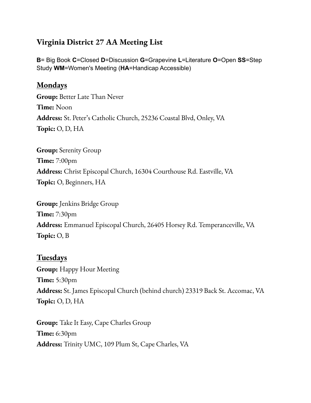# **Virginia District 27 AA Meeting List**

**B**= Big Book **C**=Closed **D**=Discussion **G**=Grapevine **L**=Literature **O**=Open **SS**=Step Study **WM**=Women's Meeting (**HA**=Handicap Accessible)

#### **Mondays**

**Group:** Better Late Than Never **Time:** Noon **Address:** St. Peter's Catholic Church, 25236 Coastal Blvd, Onley, VA **Topic:** O, D, HA

**Group:** Serenity Group **Time:** 7:00pm **Address:** Christ Episcopal Church, 16304 Courthouse Rd. Eastville, VA **Topic:** O, Beginners, HA

**Group:** Jenkins Bridge Group **Time:** 7:30pm **Address:** Emmanuel Episcopal Church, 26405 Horsey Rd. Temperanceville, VA **Topic:** O, B

#### **Tuesdays**

**Group:** Happy Hour Meeting **Time:** 5:30pm **Address:** St. James Episcopal Church (behind church) 23319 Back St. Accomac, VA **Topic:** O, D, HA

**Group:** Take It Easy, Cape Charles Group **Time:** 6:30pm **Address:** Trinity UMC, 109 Plum St, Cape Charles, VA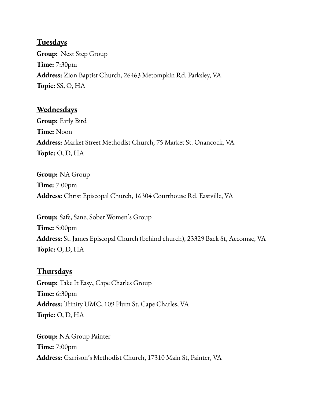#### **Tuesdays**

**Group:** Next Step Group **Time:** 7:30pm **Address:** Zion Baptist Church, 26463 Metompkin Rd. Parksley, VA **Topic:** SS, O, HA

# **Wednesdays**

**Group:** Early Bird **Time:** Noon **Address:** Market Street Methodist Church, 75 Market St. Onancock, VA **Topic:** O, D, HA

**Group:** NA Group **Time:** 7:00pm **Address:** Christ Episcopal Church, 16304 Courthouse Rd. Eastville, VA

**Group:** Safe, Sane, Sober Women's Group **Time:** 5:00pm **Address:** St. James Episcopal Church (behind church), 23329 Back St, Accomac, VA **Topic:** O, D, HA

## **Thursdays**

**Group:** Take It Easy**,** Cape Charles Group **Time:** 6:30pm **Address:** Trinity UMC, 109 Plum St. Cape Charles, VA **Topic:** O, D, HA

**Group:** NA Group Painter **Time:** 7:00pm **Address:** Garrison's Methodist Church, 17310 Main St, Painter, VA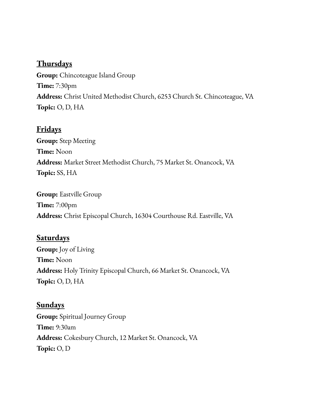## **Thursdays**

**Group:** Chincoteague Island Group **Time:** 7:30pm **Address:** Christ United Methodist Church, 6253 Church St. Chincoteague, VA **Topic:** O, D, HA

# **Fridays**

**Group:** Step Meeting **Time:** Noon **Address:** Market Street Methodist Church, 75 Market St. Onancock, VA **Topic:** SS, HA

**Group:** Eastville Group **Time:** 7:00pm **Address:** Christ Episcopal Church, 16304 Courthouse Rd. Eastville, VA

# **Saturdays**

**Group:** Joy of Living **Time:** Noon **Address:** Holy Trinity Episcopal Church, 66 Market St. Onancock, VA **Topic:** O, D, HA

## **Sundays**

**Group:** Spiritual Journey Group **Time:** 9:30am **Address:** Cokesbury Church, 12 Market St. Onancock, VA **Topic:** O, D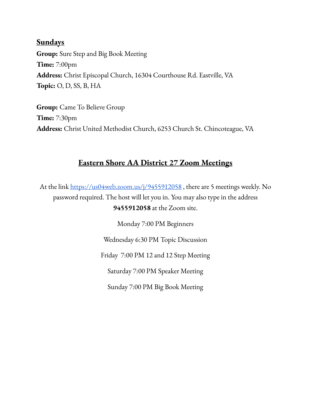## **Sundays**

**Group:** Sure Step and Big Book Meeting **Time:** 7:00pm **Address:** Christ Episcopal Church, 16304 Courthouse Rd. Eastville, VA **Topic:** O, D, SS, B, HA

**Group:** Came To Believe Group **Time:** 7:30pm **Address:** Christ United Methodist Church, 6253 Church St. Chincoteague, VA

## **Eastern Shore AA District 27 Zoom Meetings**

At the link <https://us04web.zoom.us/j/9455912058>, there are 5 meetings weekly. No password required. The host will let you in. You may also type in the address **9455912058** at the Zoom site.

> Monday 7:00 PM Beginners Wednesday 6:30 PM Topic Discussion Friday 7:00 PM 12 and 12 Step Meeting Saturday 7:00 PM Speaker Meeting Sunday 7:00 PM Big Book Meeting